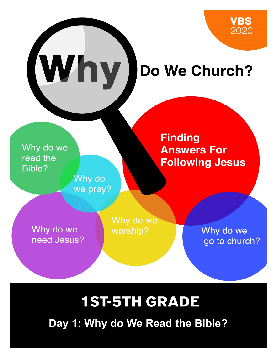# (Why) Do We Church?

Why do we read the **Bible?** 

> Why do we pray?

**Finding Answers For Following Jesus** 

Why do we need Jesus? Why do we worship?

Why do we go to church?

# **1ST-5TH GRADE**

**Day 1: Why do We Read the Bible?**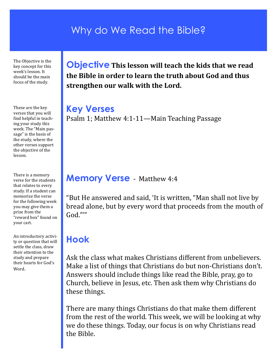#### Why do We Read the Bible?

The Objective is the key concept for this week's lesson. It should be the main focus of the study.

These are the key verses that you will find helpful in teaching your study this week. The "Main passage" is the basis of the study, where the other verses support the objective of the lesson.

There is a memory verse for the students that relates to every study. If a student can memorize the verse for the following week you may give them a prize from the "reward box" found on your cart.

An introductory activity or question that will settle the class, draw their attention to the study and prepare their hearts for God's Word.

**Objective This lesson will teach the kids that we read the Bible in order to learn the truth about God and thus strengthen our walk with the Lord.**

#### **Key Verses**

Psalm 1; Matthew 4:1-11—Main Teaching Passage

#### **Memory Verse** - Matthew 4:4

"But He answered and said, 'It is written, "Man shall not live by bread alone, but by every word that proceeds from the mouth of God."'"

#### **Hook**

Ask the class what makes Christians different from unbelievers. Make a list of things that Christians do but non-Christians don't. Answers should include things like read the Bible, pray, go to Church, believe in Jesus, etc. Then ask them why Christians do these things.

There are many things Christians do that make them different from the rest of the world. This week, we will be looking at why we do these things. Today, our focus is on why Christians read the Bible.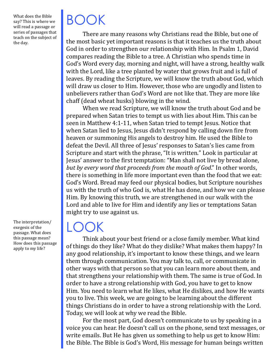What does the Bible say? This is where we will read a passage or series of passages that teach on the subject of the day.

The interpretation/ exegesis of the passage. What does this passage mean? How does this passage apply to my life?

# BOOK

There are many reasons why Christians read the Bible, but one of the most basic yet important reasons is that it teaches us the truth about God in order to strengthen our relationship with Him. In Psalm 1, David compares reading the Bible to a tree. A Christian who spends time in God's Word every day, morning and night, will have a strong, healthy walk with the Lord, like a tree planted by water that grows fruit and is full of leaves. By reading the Scripture, we will know the truth about God, which will draw us closer to Him. However, those who are ungodly and listen to unbelievers rather than God's Word are not like that. They are more like chaff (dead wheat husks) blowing in the wind.

When we read Scripture, we will know the truth about God and be prepared when Satan tries to tempt us with lies about Him. This can be seen in Matthew 4:1-11, when Satan tried to tempt Jesus. Notice that when Satan lied to Jesus, Jesus didn't respond by calling down fire from heaven or summoning His angels to destroy him. He used the Bible to defeat the Devil. All three of Jesus' responses to Satan's lies came from Scripture and start with the phrase, "It is written." Look in particular at Jesus' answer to the first temptation: "Man shall not live by bread alone, *but by every word that proceeds from the mouth of God*." In other words, there is something in life more important even than the food that we eat: God's Word. Bread may feed our physical bodies, but Scripture nourishes us with the truth of who God is, what He has done, and how we can please Him. By knowing this truth, we are strengthened in our walk with the Lord and able to live for Him and identify any lies or temptations Satan might try to use against us.

#### $\mathsf{L}(\mathsf{C})$

Think about your best friend or a close family member. What kind of things do they like? What do they dislike? What makes them happy? In any good relationship, it's important to know these things, and we learn them through communication. You may talk to, call, or communicate in other ways with that person so that you can learn more about them, and that strengthens your relationship with them. The same is true of God. In order to have a strong relationship with God, you have to get to know Him. You need to learn what He likes, what He dislikes, and how He wants you to live. This week, we are going to be learning about the different things Christians do in order to have a strong relationship with the Lord. Today, we will look at why we read the Bible.

For the most part, God doesn't communicate to us by speaking in a voice you can hear. He doesn't call us on the phone, send text messages, or write emails. But He has given us something to help us get to know Him: the Bible. The Bible is God's Word, His message for human beings written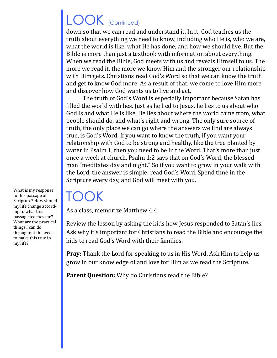## LOOK (Continued)

down so that we can read and understand it. In it, God teaches us the truth about everything we need to know, including who He is, who we are, what the world is like, what He has done, and how we should live. But the Bible is more than just a textbook with information about everything. When we read the Bible, God meets with us and reveals Himself to us. The more we read it, the more we know Him and the stronger our relationship with Him gets. Christians read God's Word so that we can know the truth and get to know God more. As a result of that, we come to love Him more and discover how God wants us to live and act.

The truth of God's Word is especially important because Satan has filled the world with lies. Just as he lied to Jesus, he lies to us about who God is and what He is like. He lies about where the world came from, what people should do, and what's right and wrong. The only sure source of truth, the only place we can go where the answers we find are always true, is God's Word. If you want to know the truth, if you want your relationship with God to be strong and healthy, like the tree planted by water in Psalm 1, then you need to be in the Word. That's more than just once a week at church. Psalm 1:2 says that on God's Word, the blessed man "meditates day and night." So if you want to grow in your walk with the Lord, the answer is simple: read God's Word. Spend time in the Scripture every day, and God will meet with you.

### TOOK

As a class, memorize Matthew 4:4.

Review the lesson by asking the kids how Jesus responded to Satan's lies. Ask why it's important for Christians to read the Bible and encourage the kids to read God's Word with their families.

**Pray:** Thank the Lord for speaking to us in His Word. Ask Him to help us grow in our knowledge of and love for Him as we read the Scripture.

**Parent Question:** Why do Christians read the Bible?

What is my response to this passage of Scripture? How should my life change according to what this passage teaches me? What are the practical things I can do throughout the week to make this true in my life?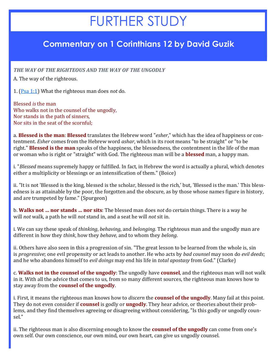### FURTHER STUDY

#### **Commentary on 1 Corinthians 12 by David Guzik**

*THE WAY OF THE RIGHTEOUS AND THE WAY OF THE UNGODLY*

A. The way of the righteous.

1. [\(Psa 1:1\)](https://www.blueletterbible.org/kjv/psalms/1/1/s_479001) What the righteous man does *not* do.

Blessed *is* the man Who walks not in the counsel of the ungodly, Nor stands in the path of sinners, Nor sits in the seat of the scornful;

a. **Blessed is the man**: **Blessed** translates the Hebrew word "*esher*," which has the idea of happiness or contentment. *Esher* comes from the Hebrew word *ashar*, which in its root means "to be straight" or "to be right." **Blessed is the man** speaks of the happiness, the blessedness, the contentment in the life of the man or woman who is right or "straight" with God. The righteous man will be a **blessed** man, a happy man.

i. "*Blessed* means supremely happy or fulfilled. In fact, in Hebrew the word is actually a plural, which denotes either a multiplicity or blessings or an intensification of them." (Boice)

ii. "It is not 'Blessed is the king, blessed is the scholar, blessed is the rich,' but, 'Blessed is the man.' This blessedness is as attainable by the poor, the forgotten and the obscure, as by those whose names figure in history, and are trumpeted by fame." (Spurgeon)

b. **Walks not … nor stands … nor sits**: The blessed man does *not* do certain things. There is a way he will *not* walk, a path he will *not* stand in, and a seat he will *not* sit in.

i. We can say these speak of *thinking*, *behaving*, and *belonging*. The righteous man and the ungodly man are different in how they *think*, how they *behave*, and to whom they *belong*.

ii. Others have also seen in this a progression of sin. "The great lesson to be learned from the whole is, sin is *progressive*; one evil propensity or act leads to another. He who acts by *bad counsel* may soon do *evil deeds*; and he who abandons himself to *evil doings* may end his life in *total apostasy* from God." (Clarke)

c. **Walks not in the counsel of the ungodly**: The ungodly have **counsel**, and the righteous man will not walk in it. With all the advice that comes to us, from so many different sources, the righteous man knows how to stay away from the **counsel of the ungodly**.

i. First, it means the righteous man knows how to *discern* the **counsel of the ungodly**. Many fail at this point. They do not even consider if **counsel** is godly or **ungodly**. They hear advice, or theories about their problems, and they find themselves agreeing or disagreeing without considering, "Is this godly or ungodly counsel."

ii. The righteous man is also discerning enough to know the **counsel of the ungodly** can come from one's own self. Our own conscience, our own mind, our own heart, can give us ungodly counsel.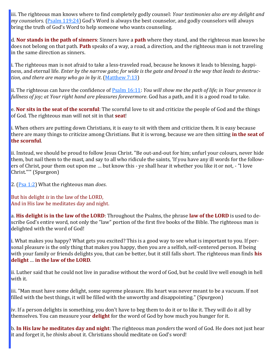iii. The righteous man knows where to find completely godly counsel: *Your testimonies also are my delight and my counselors*. [\(Psalm 119:24\)](https://www.blueletterbible.org/kjv/psalms/119/24/s_597024) God's Word is always the best counselor, and godly counselors will always bring the truth of God's Word to help someone who wants counseling.

d. **Nor stands in the path of sinners**: Sinners have a **path** where they stand, and the righteous man knows he does not belong on that path. **Path** speaks of a way, a road, a direction, and the righteous man is not traveling in the same direction as sinners.

i. The righteous man is not afraid to take a less-traveled road, because he knows it leads to blessing, happiness, and eternal life. *Enter by the narrow gate; for wide is the gate and broad is the way that leads to destruction, and there are many who go in by it*. ([Matthew 7:13\)](https://www.blueletterbible.org/kjv/matthew/7/13/s_936013)

ii. The righteous can have the confidence of [Psalm 16:11:](https://www.blueletterbible.org/kjv/psalms/16/11/s_494011) *You will show me the path of life; in Your presence is fullness of joy; at Your right hand are pleasures forevermore*. God has a path, and it is a good road to take.

e. **Nor sits in the seat of the scornful**: The scornful love to sit and criticize the people of God and the things of God. The righteous man will not sit in that **seat**!

i. When others are putting down Christians, it is easy to sit with them and criticize them. It is easy because there are many things to criticize among Christians. But it is wrong, because we are then sitting **in the seat of the scornful**.

ii. Instead, we should be proud to follow Jesus Christ. "Be out-and-out for him; unfurl your colours, never hide them, but nail them to the mast, and say to all who ridicule the saints, 'If you have any ill words for the followers of Christ, pour them out upon me … but know this - ye shall hear it whether you like it or not, - "I love Christ."'" (Spurgeon)

2. ([Psa 1:2\)](https://www.blueletterbible.org/kjv/psalms/1/2/s_479002) What the righteous man *does*.

But his delight *is* in the law of the LORD, And in His law he meditates day and night.

a. **His delight is in the law of the LORD**: Throughout the Psalms, the phrase **law of the LORD** is used to describe God's entire word, not only the "law" portion of the first five books of the Bible. The righteous man is delighted with the word of God!

i. What makes you happy? What gets you excited? This is a good way to see what is important to you. If personal pleasure is the only thing that makes you happy, then you are a selfish, self-centered person. If being with your family or friends delights you, that can be better, but it still falls short. The righteous man finds **his delight** … **in the law of the LORD**.

ii. Luther said that he could not live in paradise without the word of God, but he could live well enough in hell with it.

iii. "Man must have some delight, some supreme pleasure. His heart was never meant to be a vacuum. If not filled with the best things, it will be filled with the unworthy and disappointing." (Spurgeon)

iv. If a person delights in something, you don't have to beg them to do it or to like it. They will do it all by themselves. You can measure your **delight** for the word of God by how much you hunger for it.

b. **In His law he meditates day and night**: The righteous man *ponders* the word of God. He does not just hear it and forget it, he *thinks* about it. Christians should meditate on God's word!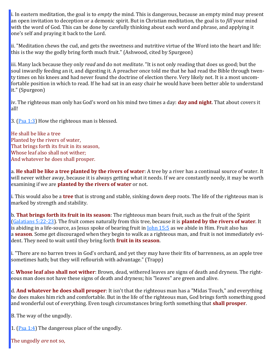i. In eastern meditation, the goal is to *empty* the mind. This is dangerous, because an empty mind may present an open invitation to deception or a demonic spirit. But in Christian meditation, the goal is to *fill* your mind with the word of God. This can be done by carefully thinking about each word and phrase, and applying it one's self and praying it back to the Lord.

ii. "Meditation chews the cud, and gets the sweetness and nutritive virtue of the Word into the heart and life: this is the way the godly bring forth much fruit." (Ashwood, cited by Spurgeon)

iii. Many lack because they only *read* and do not *meditate*. "It is not only reading that does us good; but the soul inwardly feeding an it, and digesting it. A preacher once told me that he had read the Bible through twenty times on his knees and had never found the doctrine of election there. Very likely not. It is a most uncomfortable position in which to read. If he had sat in an easy chair he would have been better able to understand it." (Spurgeon)

iv. The righteous man only has God's word on his mind two times a day: **day and night**. That about covers it all!

3.  $(Psa 1:3)$  $(Psa 1:3)$  How the righteous man is blessed.

He shall be like a tree Planted by the rivers of water, That brings forth its fruit in its season, Whose leaf also shall not wither; And whatever he does shall prosper.

a. **He shall be like a tree planted by the rivers of water**: A tree by a river has a continual source of water. It will never wither away, because it is always getting what it needs. If we are constantly needy, it may be worth examining if we are **planted by the rivers of water** or not.

i. This would also be a **tree** that is strong and stable, sinking down deep roots. The life of the righteous man is marked by strength and stability.

b. **That brings forth its fruit in its season**: The righteous man bears fruit, such as the fruit of the Spirit [\(Galatians 5:22](https://www.blueletterbible.org/kjv/galatians/5/22-23/s_1096022)-23). The fruit comes naturally from this tree, because it is **planted by the rivers of water**. It is abiding in a life-source, as Jesus spoke of bearing fruit in <u>[John 15:5](https://www.blueletterbible.org/kjv/john/15/5/s_1012005)</u> as we abide in Him. Fruit also has a **season**. Some get discouraged when they begin to walk as a righteous man, and fruit is not immediately evident. They need to wait until they bring forth **fruit in its season**.

i. "There are no barren trees in God's orchard, and yet they may have their fits of barrenness, as an apple tree sometimes hath; but they will reflourish with advantage." (Trapp)

c. **Whose leaf also shall not wither**: Brown, dead, withered leaves are signs of death and dryness. The righteous man does not have these signs of death and dryness; his "leaves" are green and alive.

d. **And whatever he does shall prosper**: It isn't that the righteous man has a "Midas Touch," and everything he does makes him rich and comfortable. But in the life of the righteous man, God brings forth something good and wonderful out of everything. Even tough circumstances bring forth something that **shall prosper**.

B. The way of the ungodly.

1. ( $P$ sa 1:4) The dangerous place of the ungodly.

The ungodly *are* not so,